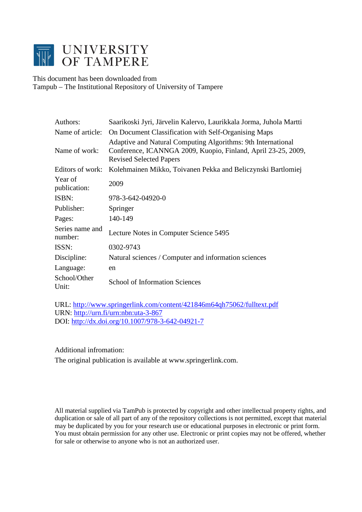

This document has been downloaded from Tampub – The Institutional Repository of University of Tampere

| Authors:                   | Saarikoski Jyri, Järvelin Kalervo, Laurikkala Jorma, Juhola Martti                                                                                              |  |  |  |  |
|----------------------------|-----------------------------------------------------------------------------------------------------------------------------------------------------------------|--|--|--|--|
| Name of article:           | On Document Classification with Self-Organising Maps                                                                                                            |  |  |  |  |
| Name of work:              | Adaptive and Natural Computing Algorithms: 9th International<br>Conference, ICANNGA 2009, Kuopio, Finland, April 23-25, 2009,<br><b>Revised Selected Papers</b> |  |  |  |  |
| Editors of work:           | Kolehmainen Mikko, Toivanen Pekka and Beliczynski Bartlomiej                                                                                                    |  |  |  |  |
| Year of<br>publication:    | 2009                                                                                                                                                            |  |  |  |  |
| ISBN:                      | 978-3-642-04920-0                                                                                                                                               |  |  |  |  |
| Publisher:                 | Springer                                                                                                                                                        |  |  |  |  |
| Pages:                     | 140-149                                                                                                                                                         |  |  |  |  |
| Series name and<br>number: | Lecture Notes in Computer Science 5495                                                                                                                          |  |  |  |  |
| ISSN:                      | 0302-9743                                                                                                                                                       |  |  |  |  |
| Discipline:                | Natural sciences / Computer and information sciences                                                                                                            |  |  |  |  |
| Language:                  | en                                                                                                                                                              |  |  |  |  |
| School/Other<br>Unit:      | <b>School of Information Sciences</b>                                                                                                                           |  |  |  |  |

URL:<http://www.springerlink.com/content/421846m64qh75062/fulltext.pdf> URN:<http://urn.fi/urn:nbn:uta-3-867> DOI:<http://dx.doi.org/10.1007/978-3-642-04921-7>

Additional infromation:

The original publication is available at www.springerlink.com.

All material supplied via TamPub is protected by copyright and other intellectual property rights, and duplication or sale of all part of any of the repository collections is not permitted, except that material may be duplicated by you for your research use or educational purposes in electronic or print form. You must obtain permission for any other use. Electronic or print copies may not be offered, whether for sale or otherwise to anyone who is not an authorized user.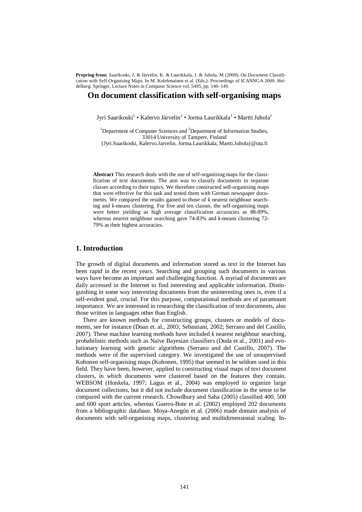**Prepring from:** Saarikoski, J, & Järvelin, K. & Laurikkala, J. & Juhola, M (2009). On Document Classification with Self-Organising Maps. In M. Kolehmainen et al. (Eds.): Proceedings of ICANNGA 2009. Heidelberg: Springer, Lecture Notes in Computer Science vol. 5495, pp. 140–149.

## **On document classification with self-organising maps**

Jyri Saarikoski<sup>1</sup> • Kalervo Järvelin<sup>2</sup> • Jorma Laurikkala<sup>1</sup> • Martti Juhola<sup>1</sup>

<sup>1</sup>Department of Computer Sciences and <sup>2</sup>Department of Information Studies, 33014 University of Tampere, Finland {Jyri.Saarikoski, Kalervo.Jarvelin, Jorma.Laurikkala, Martti.Juhola}@uta.fi

**Abstract** This research deals with the use of self-organising maps for the classification of text documents. The aim was to classify documents to separate classes according to their topics. We therefore constructed self-organising maps that were effective for this task and tested them with German newspaper documents. We compared the results gained to those of *k* nearest neighbour searching and *k*-means clustering. For five and ten classes, the self-organising maps were better yielding as high average classification accuracies as 88-89%, whereas nearest neighbour searching gave 74-83% and *k*-means clustering 72- 79% as their highest accuracies.

### **1. Introduction**

The growth of digital documents and information stored as text in the Internet has been rapid in the recent years. Searching and grouping such documents in various ways have become an important and challenging function. A myriad of documents are daily accessed in the Internet to find interesting and applicable information. Distinguishing in some way interesting documents from the uninteresting ones is, even if a self-evident goal, crucial. For this purpose, computational methods are of paramount importance. We are interested in researching the classification of text documents, also those written in languages other than English.

There are known methods for constructing groups, clusters or models of documents, see for instance (Doan et. al., 2003; Sebastiani, 2002; Serrano and del Castillo, 2007). These machine learning methods have included *k* nearest neighbour searching, probabilistic methods such as Naïve Bayesian classifiers (Duda et al., 2001) and evolutionary learning with genetic algorithms (Serrano and del Castillo, 2007). The methods were of the supervised category. We investigated the use of unsupervised Kohonen self-organising maps (Kohonen, 1995) that seemed to be seldom used in this field. They have been, however, applied to constructing visual maps of text document clusters, in which documents were clustered based on the features they contain. WEBSOM (Honkela, 1997; Lagus et al., 2004) was employed to organize large document collections, but it did not include document classification in the sense to be compared with the current research. Chowdhury and Saha (2005) classified 400, 500 and 600 sport articles, whereas Guerro-Bote et al. (2002) employed 202 documents from a bibliographic database. Moya-Anegón et al. (2006) made domain analysis of documents with self-organising maps, clustering and multidimensional scaling. In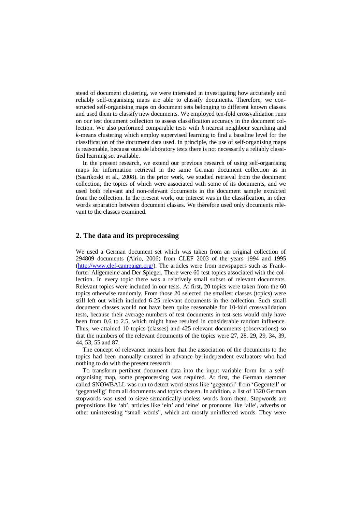stead of document clustering, we were interested in investigating how accurately and reliably self-organising maps are able to classify documents. Therefore, we constructed self-organising maps on document sets belonging to different known classes and used them to classify new documents. We employed ten-fold crossvalidation runs on our test document collection to assess classification accuracy in the document collection. We also performed comparable tests with *k* nearest neighbour searching and *k*-means clustering which employ supervised learning to find a baseline level for the classification of the document data used. In principle, the use of self-organising maps is reasonable, because outside laboratory tests there is not necessarily a reliably classified learning set available.

In the present research, we extend our previous research of using self-organising maps for information retrieval in the same German document collection as in (Saarikoski et al., 2008). In the prior work, we studied retrieval from the document collection, the topics of which were associated with some of its documents, and we used both relevant and non-relevant documents in the document sample extracted from the collection. In the present work, our interest was in the classification, in other words separation between document classes. We therefore used only documents relevant to the classes examined.

# **2. The data and its preprocessing**

We used a German document set which was taken from an original collection of 294809 documents (Airio, 2006) from CLEF 2003 of the years 1994 and 1995 [\(http://www.clef-campaign.org/](http://www.clef-campaign.org/)). The articles were from newspapers such as Frankfurter Allgemeine and Der Spiegel. There were 60 test topics associated with the collection. In every topic there was a relatively small subset of relevant documents. Relevant topics were included in our tests. At first, 20 topics were taken from the 60 topics otherwise randomly. From those 20 selected the smallest classes (topics) were still left out which included 6-25 relevant documents in the collection. Such small document classes would not have been quite reasonable for 10-fold crossvalidation tests, because their average numbers of test documents in test sets would only have been from 0.6 to 2.5, which might have resulted in considerable random influence. Thus, we attained 10 topics (classes) and 425 relevant documents (observations) so that the numbers of the relevant documents of the topics were 27, 28, 29, 29, 34, 39, 44, 53, 55 and 87.

The concept of relevance means here that the association of the documents to the topics had been manually ensured in advance by independent evaluators who had nothing to do with the present research.

To transform pertinent document data into the input variable form for a selforganising map, some preprocessing was required. At first, the German stemmer called SNOWBALL was run to detect word stems like 'gegenteil' from 'Gegenteil' or 'gegenteilig' from all documents and topics chosen. In addition, a list of 1320 German stopwords was used to sieve semantically useless words from them. Stopwords are prepositions like 'ab', articles like 'ein' and 'eine' or pronouns like 'alle', adverbs or other uninteresting "small words", which are mostly uninflected words. They were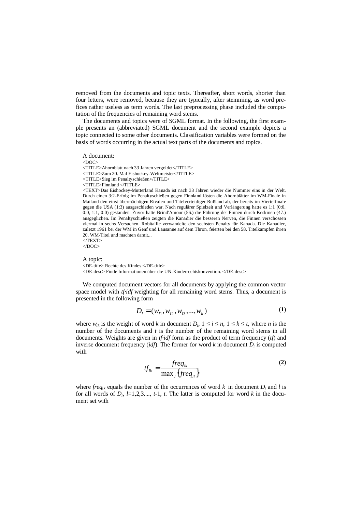removed from the documents and topic texts. Thereafter, short words, shorter than four letters, were removed, because they are typically, after stemming, as word prefices rather useless as term words. The last preprocessing phase included the computation of the frequencies of remaining word stems.

The documents and topics were of SGML format. In the following, the first example presents an (abbreviated) SGML document and the second example depicts a topic connected to some other documents. Classification variables were formed on the basis of words occurring in the actual text parts of the documents and topics.

A document:

<DOC> <TITLE>Ahornblatt nach 33 Jahren vergoldet</TITLE> <TITLE>Zum 20. Mal Eishockey-Weltmeister</TITLE> <TITLE>Sieg im Penaltyschießen</TITLE> <TITLE>Finnland </TITLE> <TEXT>Das Eishockey-Mutterland Kanada ist nach 33 Jahren wieder die Nummer eins in der Welt. Durch einen 3:2-Erfolg im Penaltyschießen gegen Finnland lösten die Ahornblätter im WM-Finale in Mailand den einst übermächtigen Rivalen und Titelverteidiger Rußland ab, der bereits im Viertelfinale

gegen die USA (1:3) ausgeschieden war. Nach regulärer Spielzeit und Verlängerung hatte es 1:1 (0:0, 0:0, 1:1, 0:0) gestanden. Zuvor hatte Brind'Amour (56.) die Führung der Finnen durch Keskinen (47.) ausgeglichen. Im Penaltyschießen zeigten die Kanadier die besseren Nerven, die Finnen verschossen viermal in sechs Versuchen. Robitaille verwandelte den sechsten Penalty für Kanada. Die Kanadier, zuletzt 1961 bei der WM in Genf und Lausanne auf dem Thron, feierten bei den 58. Titelkämpfen ihren 20. WM-Titel und machten damit...

 $\langle$ TEXT $>$  $<$ /DOC>

A topic:

<DE-title> Rechte des Kindes </DE-title>

<DE-desc> Finde Informationen über die UN-Kinderrechtskonvention. </DE-desc>

We computed document vectors for all documents by applying the common vector space model with *tf·idf* weighting for all remaining word stems. Thus, a document is presented in the following form

$$
D_i = (w_{i1}, w_{i2}, w_{i3}, ..., w_{it})
$$
 (1)

where  $w_{ik}$  is the weight of word *k* in document  $D_i$ ,  $1 \le i \le n$ ,  $1 \le k \le t$ , where *n* is the number of the documents and *t* is the number of the remaining word stems in all documents. Weights are given in *tf·idf* form as the product of term frequency (*tf*) and inverse document frequency (*idf*). The former for word  $k$  in document  $D_i$  is computed with

$$
tf_{ik} = \frac{freq_{ik}}{\max_i \{freq_{il}\}}\tag{2}
$$

where *freq<sub>ik</sub>* equals the number of the occurrences of word  $k$  in document  $D_i$  and  $l$  is for all words of  $D_i$ ,  $l=1,2,3,..., t-1$ ,  $t$ . The latter is computed for word  $k$  in the document set with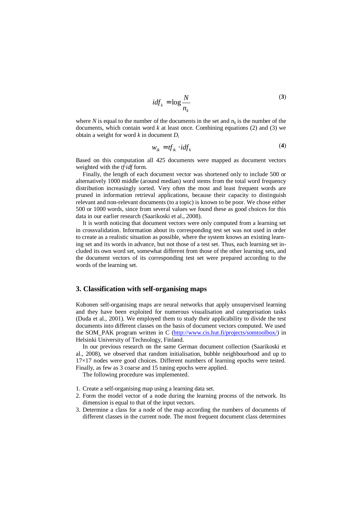$$
idf_k = \log \frac{N}{n_k} \tag{3}
$$

where *N* is equal to the number of the documents in the set and  $n_k$  is the number of the documents, which contain word  $k$  at least once. Combining equations  $(2)$  and  $(3)$  we obtain a weight for word *k* in document *D<sup>i</sup>*

$$
w_{ik} = tf_{ik} \cdot idf_k \tag{4}
$$

Based on this computation all 425 documents were mapped as document vectors weighted with the *tf·idf* form.

Finally, the length of each document vector was shortened only to include 500 or alternatively 1000 middle (around median) word stems from the total word frequency distribution increasingly sorted. Very often the most and least frequent words are pruned in information retrieval applications, because their capacity to distinguish relevant and non-relevant documents (to a topic) is known to be poor. We chose either 500 or 1000 words, since from several values we found these as good choices for this data in our earlier research (Saarikoski et al., 2008).

It is worth noticing that document vectors were only computed from a learning set in crossvalidation. Information about its corresponding test set was not used in order to create as a realistic situation as possible, where the system knows an existing learning set and its words in advance, but not those of a test set. Thus, each learning set included its own word set, somewhat different from those of the other learning sets, and the document vectors of its corresponding test set were prepared according to the words of the learning set.

# **3. Classification with self-organising maps**

Kohonen self-organising maps are neural networks that apply unsupervised learning and they have been exploited for numerous visualisation and categorisation tasks (Duda et al., 2001). We employed them to study their applicability to divide the test documents into different classes on the basis of document vectors computed. We used the SOM\_PAK program written in C ([http://www.cis.hut.fi/projects/somtoolbox/\)](http://www.cis.hut.fi/projects/somtoolbox/) in Helsinki University of Technology, Finland.

In our previous research on the same German document collection (Saarikoski et al., 2008), we observed that random initialisation, bubble neighbourhood and up to 17×17 nodes were good choices. Different numbers of learning epochs were tested. Finally, as few as 3 coarse and 15 tuning epochs were applied.

The following procedure was implemented.

- 1. Create a self-organising map using a learning data set.
- 2. Form the model vector of a node during the learning process of the network. Its dimension is equal to that of the input vectors.
- 3. Determine a class for a node of the map according the numbers of documents of different classes in the current node. The most frequent document class determines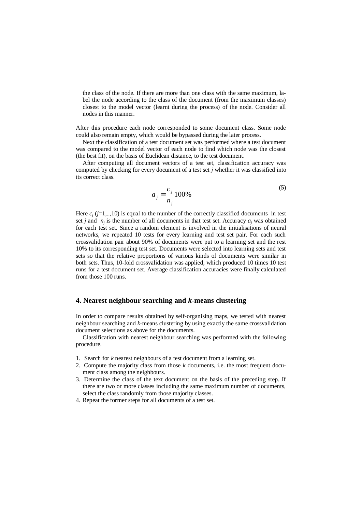the class of the node. If there are more than one class with the same maximum, label the node according to the class of the document (from the maximum classes) closest to the model vector (learnt during the process) of the node. Consider all nodes in this manner.

After this procedure each node corresponded to some document class. Some node could also remain empty, which would be bypassed during the later process.

Next the classification of a test document set was performed where a test document was compared to the model vector of each node to find which node was the closest (the best fit), on the basis of Euclidean distance, to the test document.

After computing all document vectors of a test set, classification accuracy was computed by checking for every document of a test set *j* whether it was classified into its correct class.

$$
a_j = \frac{c_j}{n_j} 100\%
$$
 (5)

Here  $c_j$  ( $j=1,..,10$ ) is equal to the number of the correctly classified documents in test set *j* and  $n_j$  is the number of all documents in that test set. Accuracy  $a_j$  was obtained for each test set. Since a random element is involved in the initialisations of neural networks, we repeated 10 tests for every learning and test set pair. For each such crossvalidation pair about 90% of documents were put to a learning set and the rest 10% to its corresponding test set. Documents were selected into learning sets and test sets so that the relative proportions of various kinds of documents were similar in both sets. Thus, 10-fold crossvalidation was applied, which produced 10 times 10 test runs for a test document set. Average classification accuracies were finally calculated from those 100 runs.

### **4. Nearest neighbour searching and** *k***-means clustering**

In order to compare results obtained by self-organising maps, we tested with nearest neighbour searching and *k*-means clustering by using exactly the same crossvalidation document selections as above for the documents.

Classification with nearest neighbour searching was performed with the following procedure.

- 1. Search for *k* nearest neighbours of a test document from a learning set.
- 2. Compute the majority class from those *k* documents, i.e. the most frequent document class among the neighbours.
- 3. Determine the class of the text document on the basis of the preceding step. If there are two or more classes including the same maximum number of documents, select the class randomly from those majority classes.
- 4. Repeat the former steps for all documents of a test set.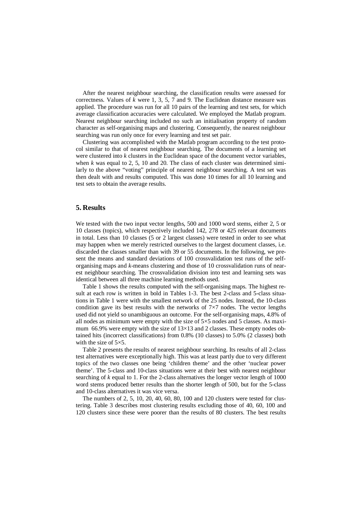After the nearest neighbour searching, the classification results were assessed for correctness. Values of *k* were 1, 3, 5, 7 and 9. The Euclidean distance measure was applied. The procedure was run for all 10 pairs of the learning and test sets, for which average classification accuracies were calculated. We employed the Matlab program. Nearest neighbour searching included no such an initialisation property of random character as self-organising maps and clustering. Consequently, the nearest neighbour searching was run only once for every learning and test set pair.

Clustering was accomplished with the Matlab program according to the test protocol similar to that of nearest neighbour searching. The documents of a learning set were clustered into *k* clusters in the Euclidean space of the document vector variables, when *k* was equal to 2, 5, 10 and 20. The class of each cluster was determined similarly to the above "voting" principle of nearest neighbour searching. A test set was then dealt with and results computed. This was done 10 times for all 10 learning and test sets to obtain the average results.

### **5. Results**

We tested with the two input vector lengths, 500 and 1000 word stems, either 2, 5 or 10 classes (topics), which respectively included 142, 278 or 425 relevant documents in total. Less than 10 classes (5 or 2 largest classes) were tested in order to see what may happen when we merely restricted ourselves to the largest document classes, i.e. discarded the classes smaller than with 39 or 55 documents. In the following, we present the means and standard deviations of 100 crossvalidation test runs of the selforganising maps and *k*-means clustering and those of 10 crossvalidation runs of nearest neighbour searching. The crossvalidation division into test and learning sets was identical between all three machine learning methods used.

Table 1 shows the results computed with the self-organising maps. The highest result at each row is written in bold in Tables 1-3. The best 2-class and 5-class situations in Table 1 were with the smallest network of the 25 nodes. Instead, the 10-class condition gave its best results with the networks of  $7\times7$  nodes. The vector lengths used did not yield so unambiguous an outcome. For the self-organising maps, 4.8% of all nodes as minimum were empty with the size of  $5\times 5$  nodes and 5 classes. As maximum 66.9% were empty with the size of  $13\times13$  and 2 classes. These empty nodes obtained hits (incorrect classifications) from 0.8% (10 classes) to 5.0% (2 classes) both with the size of  $5\times5$ .

Table 2 presents the results of nearest neighbour searching. Its results of all 2-class test alternatives were exceptionally high. This was at least partly due to very different topics of the two classes one being 'children theme' and the other 'nuclear power theme'. The 5-class and 10-class situations were at their best with nearest neighbour searching of *k* equal to 1. For the 2-class alternatives the longer vector length of 1000 word stems produced better results than the shorter length of 500, but for the 5-class and 10-class alternatives it was vice versa.

The numbers of 2, 5, 10, 20, 40, 60, 80, 100 and 120 clusters were tested for clustering. Table 3 describes most clustering results excluding those of 40, 60, 100 and 120 clusters since these were poorer than the results of 80 clusters. The best results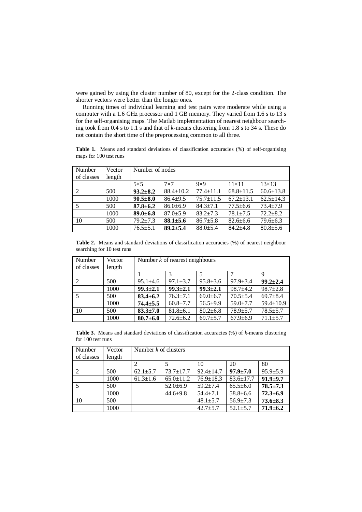were gained by using the cluster number of 80, except for the 2-class condition. The shorter vectors were better than the longer ones.

Running times of individual learning and test pairs were moderate while using a computer with a 1.6 GHz processor and 1 GB memory. They varied from 1.6 s to 13 s for the self-organising maps. The Matlab implementation of nearest neighbour searching took from 0.4 s to 1.1 s and that of *k*-means clustering from 1.8 s to 34 s. These do not contain the short time of the preprocessing common to all three.

**Table 1.** Means and standard deviations of classification accuracies (%) of self-organising maps for 100 test runs

| Number                   | Vector | Number of nodes |                 |                 |                 |                 |  |
|--------------------------|--------|-----------------|-----------------|-----------------|-----------------|-----------------|--|
| of classes               | length |                 |                 |                 |                 |                 |  |
|                          |        | $5\times5$      | $7\times7$      | $9\times9$      | $11\times11$    | $13\times13$    |  |
|                          | 500    | $93.2 \pm 8.2$  | $88.4 \pm 10.2$ | $77.4 + 11.1$   | $68.8 \pm 11.5$ | $60.6 \pm 13.8$ |  |
|                          | 1000   | $90.5 \pm 8.0$  | $86.4{\pm}9.5$  | $75.7 \pm 11.5$ | $67.2 \pm 13.1$ | $62.5 \pm 14.3$ |  |
| $\overline{\phantom{1}}$ | 500    | $87.8 \pm 6.2$  | $86.0 \pm 6.9$  | $84.3 + 7.1$    | $77.5 \pm 6.6$  | $73.4 + 7.9$    |  |
|                          | 1000   | $89.0 \pm 6.8$  | $87.0 \pm 5.9$  | $83.2 + 7.3$    | $78.1 + 7.5$    | $72.2 + 8.2$    |  |
| 10                       | 500    | $79.2 \pm 7.3$  | $88.1 \pm 5.6$  | $86.7 \pm 5.8$  | $82.6 \pm 6.6$  | $79.6 \pm 6.3$  |  |
|                          | 1000   | $76.5 \pm 5.1$  | $89.2 \pm 5.4$  | $88.0{\pm}5.4$  | $84.2 + 4.8$    | $80.8 \pm 5.6$  |  |

**Table 2.** Means and standard deviations of classification accuracies (%) of nearest neighbour searching for 10 test runs

| Number<br>of classes | Vector<br>length | Number $k$ of nearest neighbours |                |                |                |                 |
|----------------------|------------------|----------------------------------|----------------|----------------|----------------|-----------------|
|                      |                  | 9                                |                |                |                |                 |
|                      |                  |                                  |                |                |                |                 |
|                      | 500              | $95.1 \pm 4.6$                   | $97.1 \pm 3.7$ | $95.8 \pm 3.6$ | $97.9 \pm 3.4$ | $99.2 \pm 2.4$  |
|                      | 1000             | $99.3 \pm 2.1$                   | $99.3 \pm 2.1$ | $99.3 \pm 2.1$ | $98.7 + 4.2$   | $98.7 \pm 2.8$  |
| 5                    | 500              | $83.4 \pm 6.2$                   | $76.3 \pm 7.1$ | $69.0 \pm 6.7$ | $70.5 \pm 5.4$ | $69.7 \pm 8.4$  |
|                      | 1000             | $74.4 \pm 5.5$                   | $60.8 \pm 7.7$ | $56.5+9.9$     | $59.0 \pm 7.7$ | $59.4 \pm 10.9$ |
| 10                   | 500              | $83.3 \pm 7.0$                   | $81.8 \pm 6.1$ | $80.2{\pm}6.8$ | $78.9 \pm 5.7$ | $78.5 \pm 5.7$  |
|                      | 1000             | $80.7 \pm 6.0$                   | $72.6 \pm 6.2$ | $69.7 \pm 5.7$ | $67.9 \pm 6.9$ | $71.1 \pm 5.7$  |

**Table 3.** Means and standard deviations of classification accuracies (%) of *k*-means clustering for 100 test runs

| Number<br>of classes | Vector<br>length | Number $k$ of clusters |                 |                 |                 |                |
|----------------------|------------------|------------------------|-----------------|-----------------|-----------------|----------------|
|                      |                  |                        |                 | 10              | 20              | 80             |
|                      | 500              | $62.1 \pm 5.7$         | $73.7 \pm 17.7$ | $92.4 \pm 14.7$ | $97.9 \pm 7.0$  | $95.9 \pm 5.9$ |
|                      | 1000             | $61.3 \pm 1.6$         | $65.0 \pm 11.2$ | $76.9 \pm 18.3$ | $83.6 \pm 17.7$ | $91.9 + 9.7$   |
|                      | 500              |                        | $52.0 \pm 6.9$  | $59.2 + 7.4$    | $65.5 \pm 6.0$  | $78.5 \pm 7.3$ |
|                      | 1000             |                        | $44.6 \pm 9.8$  | $54.4 + 7.1$    | $58.8 \pm 6.6$  | $72.3 \pm 6.9$ |
| 10                   | 500              |                        |                 | $48.1 \pm 5.7$  | $56.9 \pm 7.3$  | $73.6 \pm 8.3$ |
|                      | 1000             |                        |                 | $42.7 \pm 5.7$  | $52.1 \pm 5.7$  | $71.9 \pm 6.2$ |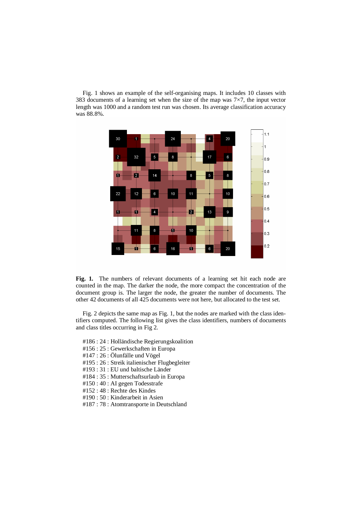Fig. 1 shows an example of the self-organising maps. It includes 10 classes with 383 documents of a learning set when the size of the map was  $7\times7$ , the input vector length was 1000 and a random test run was chosen. Its average classification accuracy was 88.8%.



**Fig. 1.** The numbers of relevant documents of a learning set hit each node are counted in the map. The darker the node, the more compact the concentration of the document group is. The larger the node, the greater the number of documents. The other 42 documents of all 425 documents were not here, but allocated to the test set.

Fig. 2 depicts the same map as Fig. 1, but the nodes are marked with the class identifiers computed. The following list gives the class identifiers, numbers of documents and class titles occurring in Fig 2.

- #186 : 24 : Holländische Regierungskoalition
- #156 : 25 : Gewerkschaften in Europa
- #147 : 26 : Ölunfälle und Vögel
- #195 : 26 : Streik italienischer Flugbegleiter
- #193 : 31 : EU und baltische Länder
- #184 : 35 : Mutterschaftsurlaub in Europa
- #150 : 40 : AI gegen Todesstrafe
- #152 : 48 : Rechte des Kindes
- #190 : 50 : Kinderarbeit in Asien
- #187 : 78 : Atomtransporte in Deutschland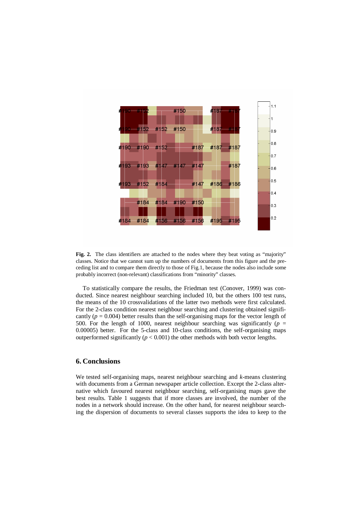

**Fig. 2.** The class identifiers are attached to the nodes where they beat voting as "majority" classes. Notice that we cannot sum up the numbers of documents from this figure and the preceding list and to compare them directly to those of Fig.1, because the nodes also include some probably incorrect (non-relevant) classifications from "minority" classes.

To statistically compare the results, the Friedman test (Conover, 1999) was conducted. Since nearest neighbour searching included 10, but the others 100 test runs, the means of the 10 crossvalidations of the latter two methods were first calculated. For the 2-class condition nearest neighbour searching and clustering obtained significantly ( $p = 0.004$ ) better results than the self-organising maps for the vector length of 500. For the length of 1000, nearest neighbour searching was significantly ( $p =$ 0.00005) better. For the 5-class and 10-class conditions, the self-organising maps outperformed significantly  $(p < 0.001)$  the other methods with both vector lengths.

# **6. Conclusions**

We tested self-organising maps, nearest neighbour searching and *k*-means clustering with documents from a German newspaper article collection. Except the 2-class alternative which favoured nearest neighbour searching, self-organising maps gave the best results. Table 1 suggests that if more classes are involved, the number of the nodes in a network should increase. On the other hand, for nearest neighbour searching the dispersion of documents to several classes supports the idea to keep to the